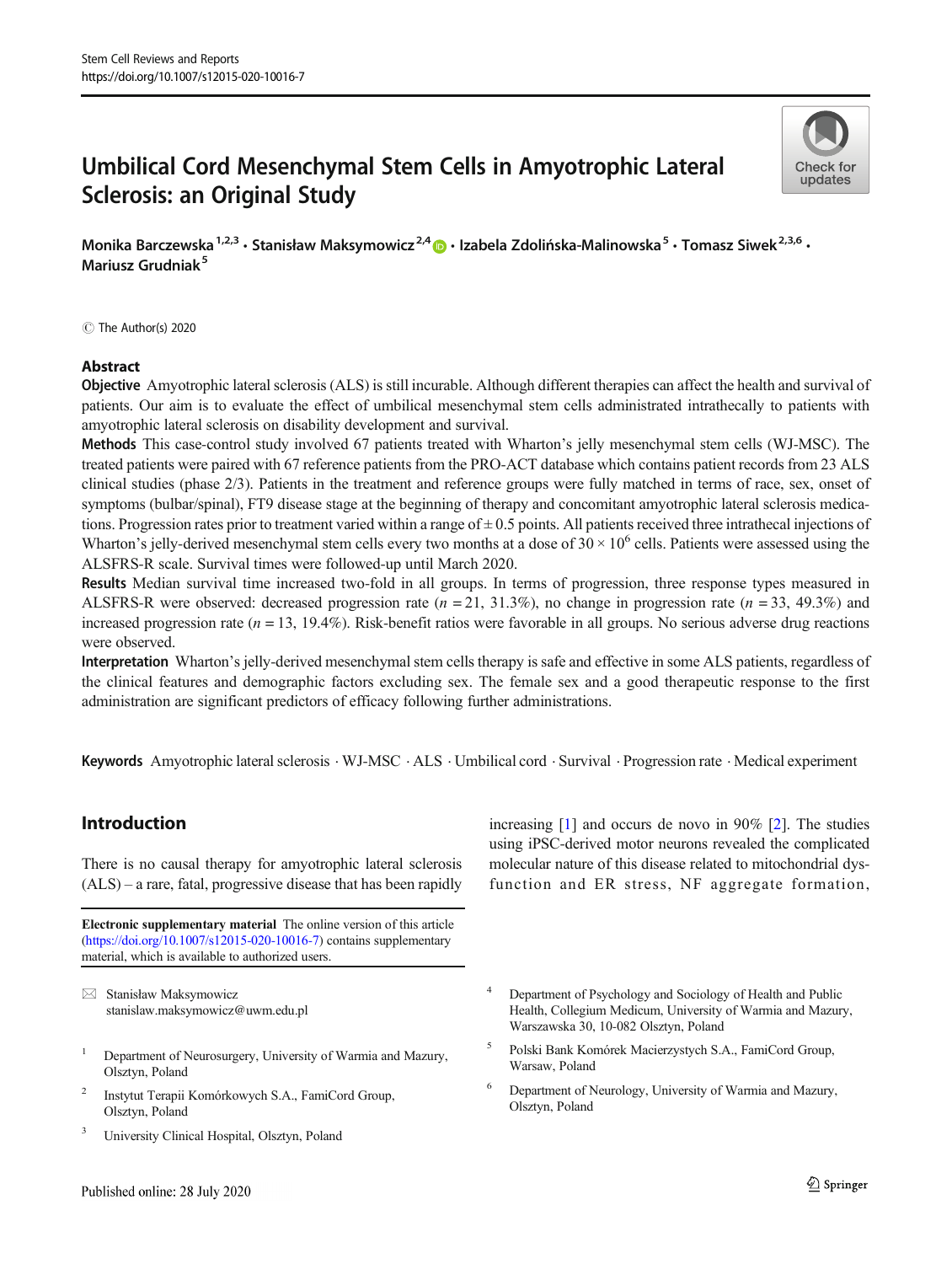# Umbilical Cord Mesenchymal Stem Cells in Amyotrophic Lateral Sclerosis: an Original Study



Monika Barczewska<sup>1,2,3</sup> · Stanisław Maksymowicz<sup>2,4</sup>  $\bullet$  · Izabela Zdolińska-Malinowska<sup>5</sup> · Tomasz Siwek<sup>2,3,6</sup> · Mariusz Grudniak<sup>5</sup>

 $\circledcirc$  The Author(s) 2020

#### Abstract

Objective Amyotrophic lateral sclerosis (ALS) is still incurable. Although different therapies can affect the health and survival of patients. Our aim is to evaluate the effect of umbilical mesenchymal stem cells administrated intrathecally to patients with amyotrophic lateral sclerosis on disability development and survival.

Methods This case-control study involved 67 patients treated with Wharton's jelly mesenchymal stem cells (WJ-MSC). The treated patients were paired with 67 reference patients from the PRO-ACT database which contains patient records from 23 ALS clinical studies (phase 2/3). Patients in the treatment and reference groups were fully matched in terms of race, sex, onset of symptoms (bulbar/spinal), FT9 disease stage at the beginning of therapy and concomitant amyotrophic lateral sclerosis medications. Progression rates prior to treatment varied within a range of  $\pm$  0.5 points. All patients received three intrathecal injections of Wharton's jelly-derived mesenchymal stem cells every two months at a dose of  $30 \times 10^6$  cells. Patients were assessed using the ALSFRS-R scale. Survival times were followed-up until March 2020.

Results Median survival time increased two-fold in all groups. In terms of progression, three response types measured in ALSFRS-R were observed: decreased progression rate  $(n = 21, 31.3\%)$ , no change in progression rate  $(n = 33, 49.3\%)$  and increased progression rate ( $n = 13$ , 19.4%). Risk-benefit ratios were favorable in all groups. No serious adverse drug reactions were observed.

Interpretation Wharton's jelly-derived mesenchymal stem cells therapy is safe and effective in some ALS patients, regardless of the clinical features and demographic factors excluding sex. The female sex and a good therapeutic response to the first administration are significant predictors of efficacy following further administrations.

Keywords Amyotrophic lateral sclerosis . WJ-MSC . ALS . Umbilical cord . Survival . Progression rate . Medical experiment

## Introduction

There is no causal therapy for amyotrophic lateral sclerosis (ALS) – a rare, fatal, progressive disease that has been rapidly

Electronic supplementary material The online version of this article ([https://doi.org/10.1007/s12015-020-10016-7\)](https://doi.org/10.1007/s12015-020-10016-7) contains supplementary material, which is available to authorized users.

 $\boxtimes$  Stanisław Maksymowicz [stanislaw.maksymowicz@uwm.edu.pl](mailto:stanislaw.maksymowicz@uwm.edu.pl)

- <sup>1</sup> Department of Neurosurgery, University of Warmia and Mazury, Olsztyn, Poland
- <sup>2</sup> Instytut Terapii Komórkowych S.A., FamiCord Group, Olsztyn, Poland
- <sup>3</sup> University Clinical Hospital, Olsztyn, Poland

increasing [[1\]](#page-8-0) and occurs de novo in 90% [\[2](#page-8-0)]. The studies using iPSC-derived motor neurons revealed the complicated molecular nature of this disease related to mitochondrial dysfunction and ER stress, NF aggregate formation,

- Department of Psychology and Sociology of Health and Public Health, Collegium Medicum, University of Warmia and Mazury, Warszawska 30, 10-082 Olsztyn, Poland
- <sup>5</sup> Polski Bank Komórek Macierzystych S.A., FamiCord Group, Warsaw, Poland
- Department of Neurology, University of Warmia and Mazury, Olsztyn, Poland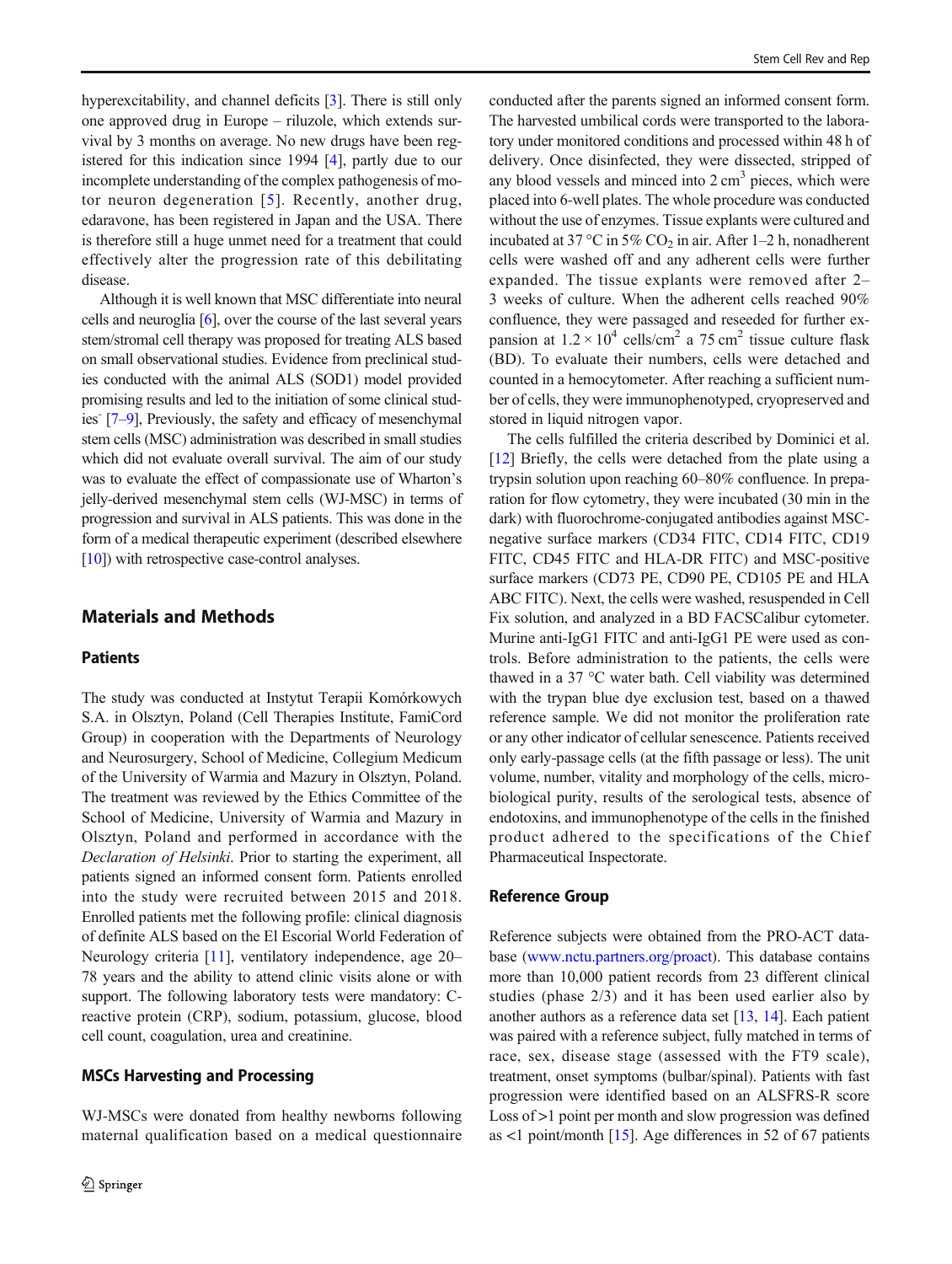hyperexcitability, and channel deficits [\[3](#page-8-0)]. There is still only one approved drug in Europe – riluzole, which extends survival by 3 months on average. No new drugs have been registered for this indication since 1994 [\[4](#page-8-0)], partly due to our incomplete understanding of the complex pathogenesis of motor neuron degeneration [[5](#page-8-0)]. Recently, another drug, edaravone, has been registered in Japan and the USA. There is therefore still a huge unmet need for a treatment that could effectively alter the progression rate of this debilitating disease.

Although it is well known that MSC differentiate into neural cells and neuroglia [[6\]](#page-8-0), over the course of the last several years stem/stromal cell therapy was proposed for treating ALS based on small observational studies. Evidence from preclinical studies conducted with the animal ALS (SOD1) model provided promising results and led to the initiation of some clinical studies $\lceil 7-9 \rceil$ , Previously, the safety and efficacy of mesenchymal stem cells (MSC) administration was described in small studies which did not evaluate overall survival. The aim of our study was to evaluate the effect of compassionate use of Wharton's jelly-derived mesenchymal stem cells (WJ-MSC) in terms of progression and survival in ALS patients. This was done in the form of a medical therapeutic experiment (described elsewhere [\[10\]](#page-8-0)) with retrospective case-control analyses.

## Materials and Methods

#### Patients

The study was conducted at Instytut Terapii Komórkowych S.A. in Olsztyn, Poland (Cell Therapies Institute, FamiCord Group) in cooperation with the Departments of Neurology and Neurosurgery, School of Medicine, Collegium Medicum of the University of Warmia and Mazury in Olsztyn, Poland. The treatment was reviewed by the Ethics Committee of the School of Medicine, University of Warmia and Mazury in Olsztyn, Poland and performed in accordance with the Declaration of Helsinki. Prior to starting the experiment, all patients signed an informed consent form. Patients enrolled into the study were recruited between 2015 and 2018. Enrolled patients met the following profile: clinical diagnosis of definite ALS based on the El Escorial World Federation of Neurology criteria [\[11](#page-8-0)], ventilatory independence, age 20– 78 years and the ability to attend clinic visits alone or with support. The following laboratory tests were mandatory: Creactive protein (CRP), sodium, potassium, glucose, blood cell count, coagulation, urea and creatinine.

#### MSCs Harvesting and Processing

WJ-MSCs were donated from healthy newborns following maternal qualification based on a medical questionnaire conducted after the parents signed an informed consent form. The harvested umbilical cords were transported to the laboratory under monitored conditions and processed within 48 h of delivery. Once disinfected, they were dissected, stripped of any blood vessels and minced into  $2 \text{ cm}^3$  pieces, which were placed into 6-well plates. The whole procedure was conducted without the use of enzymes. Tissue explants were cultured and incubated at 37 °C in 5% CO<sub>2</sub> in air. After 1–2 h, nonadherent cells were washed off and any adherent cells were further expanded. The tissue explants were removed after 2– 3 weeks of culture. When the adherent cells reached 90% confluence, they were passaged and reseeded for further expansion at  $1.2 \times 10^4$  cells/cm<sup>2</sup> a 75 cm<sup>2</sup> tissue culture flask (BD). To evaluate their numbers, cells were detached and counted in a hemocytometer. After reaching a sufficient number of cells, they were immunophenotyped, cryopreserved and stored in liquid nitrogen vapor.

The cells fulfilled the criteria described by Dominici et al. [\[12](#page-8-0)] Briefly, the cells were detached from the plate using a trypsin solution upon reaching 60–80% confluence. In preparation for flow cytometry, they were incubated (30 min in the dark) with fluorochrome-conjugated antibodies against MSCnegative surface markers (CD34 FITC, CD14 FITC, CD19 FITC, CD45 FITC and HLA-DR FITC) and MSC-positive surface markers (CD73 PE, CD90 PE, CD105 PE and HLA ABC FITC). Next, the cells were washed, resuspended in Cell Fix solution, and analyzed in a BD FACSCalibur cytometer. Murine anti-IgG1 FITC and anti-IgG1 PE were used as controls. Before administration to the patients, the cells were thawed in a 37 °C water bath. Cell viability was determined with the trypan blue dye exclusion test, based on a thawed reference sample. We did not monitor the proliferation rate or any other indicator of cellular senescence. Patients received only early-passage cells (at the fifth passage or less). The unit volume, number, vitality and morphology of the cells, microbiological purity, results of the serological tests, absence of endotoxins, and immunophenotype of the cells in the finished product adhered to the specifications of the Chief Pharmaceutical Inspectorate.

#### Reference Group

Reference subjects were obtained from the PRO-ACT database [\(www.nctu.partners.org/proact](http://www.nctu.partners.org/proact)). This database contains more than 10,000 patient records from 23 different clinical studies (phase 2/3) and it has been used earlier also by another authors as a reference data set [\[13,](#page-9-0) [14](#page-9-0)]. Each patient was paired with a reference subject, fully matched in terms of race, sex, disease stage (assessed with the FT9 scale), treatment, onset symptoms (bulbar/spinal). Patients with fast progression were identified based on an ALSFRS-R score Loss of  $>1$  point per month and slow progression was defined as <1 point/month [\[15\]](#page-9-0). Age differences in 52 of 67 patients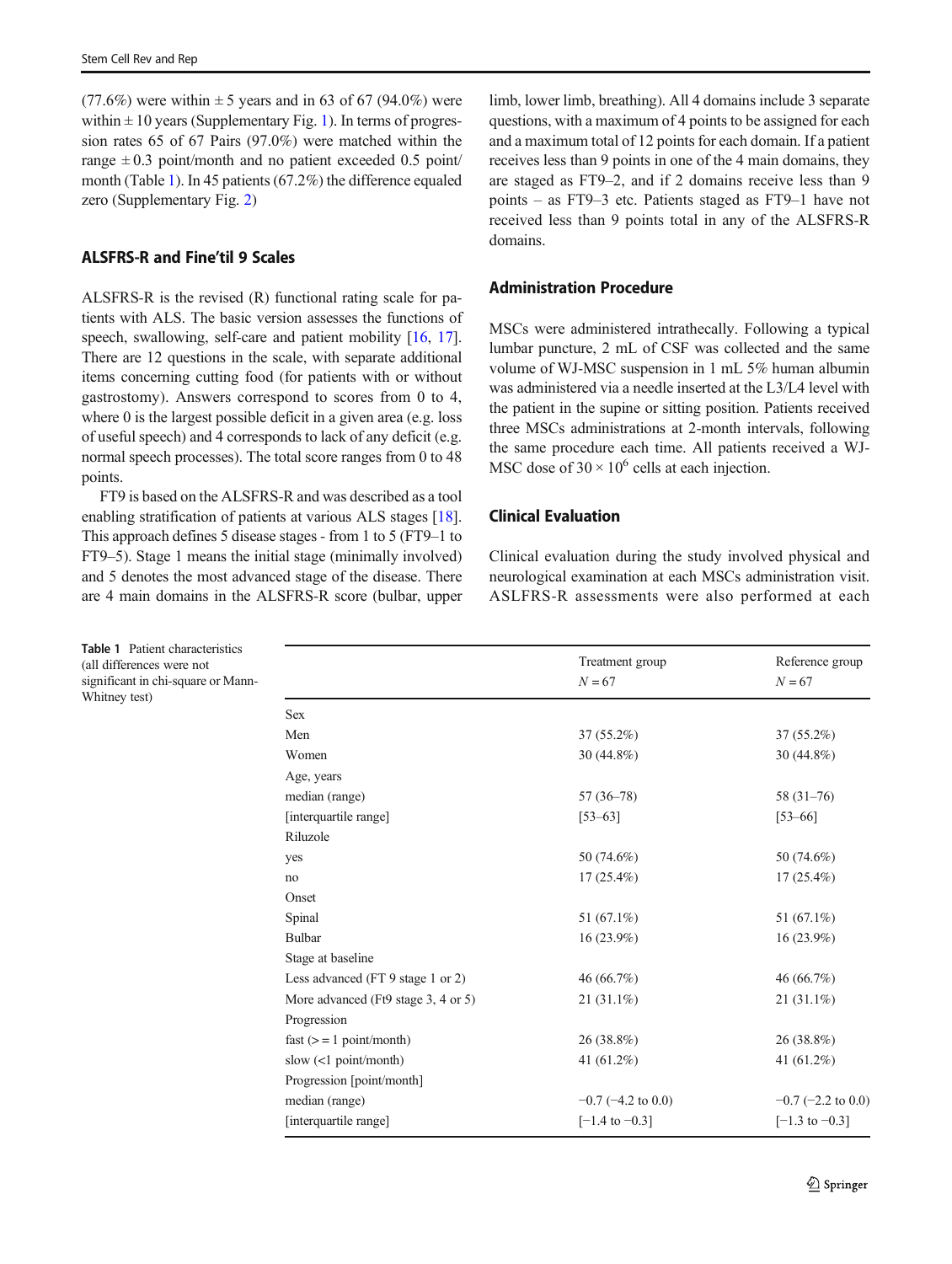(77.6%) were within  $\pm 5$  years and in 63 of 67 (94.0%) were within  $\pm 10$  years (Supplementary Fig. 1). In terms of progression rates 65 of 67 Pairs (97.0%) were matched within the range  $\pm 0.3$  point/month and no patient exceeded 0.5 point/ month (Table 1). In 45 patients (67.2%) the difference equaled zero (Supplementary Fig. 2)

### ALSFRS-R and Fine'til 9 Scales

ALSFRS-R is the revised (R) functional rating scale for patients with ALS. The basic version assesses the functions of speech, swallowing, self-care and patient mobility [[16,](#page-9-0) [17\]](#page-9-0). There are 12 questions in the scale, with separate additional items concerning cutting food (for patients with or without gastrostomy). Answers correspond to scores from 0 to 4, where 0 is the largest possible deficit in a given area (e.g. loss of useful speech) and 4 corresponds to lack of any deficit (e.g. normal speech processes). The total score ranges from 0 to 48 points.

FT9 is based on the ALSFRS-R and was described as a tool enabling stratification of patients at various ALS stages [[18\]](#page-9-0). This approach defines 5 disease stages - from 1 to 5 (FT9–1 to FT9–5). Stage 1 means the initial stage (minimally involved) and 5 denotes the most advanced stage of the disease. There are 4 main domains in the ALSFRS-R score (bulbar, upper

limb, lower limb, breathing). All 4 domains include 3 separate questions, with a maximum of 4 points to be assigned for each and a maximum total of 12 points for each domain. If a patient receives less than 9 points in one of the 4 main domains, they are staged as FT9–2, and if 2 domains receive less than 9 points – as FT9–3 etc. Patients staged as FT9–1 have not received less than 9 points total in any of the ALSFRS-R domains.

### Administration Procedure

MSCs were administered intrathecally. Following a typical lumbar puncture, 2 mL of CSF was collected and the same volume of WJ-MSC suspension in 1 mL 5% human albumin was administered via a needle inserted at the L3/L4 level with the patient in the supine or sitting position. Patients received three MSCs administrations at 2-month intervals, following the same procedure each time. All patients received a WJ-MSC dose of  $30 \times 10^6$  cells at each injection.

#### Clinical Evaluation

Clinical evaluation during the study involved physical and neurological examination at each MSCs administration visit. ASLFRS-R assessments were also performed at each

|                                     | Treatment group<br>$N = 67$ | Reference group<br>$N = 67$ |
|-------------------------------------|-----------------------------|-----------------------------|
|                                     |                             |                             |
| <b>Sex</b>                          |                             |                             |
| Men                                 | $37(55.2\%)$                | $37(55.2\%)$                |
| Women                               | 30 (44.8%)                  | 30 (44.8%)                  |
| Age, years                          |                             |                             |
| median (range)                      | 57 (36-78)                  | $58(31-76)$                 |
| [interquartile range]               | $[53 - 63]$                 | $[53 - 66]$                 |
| Riluzole                            |                             |                             |
| yes                                 | 50 (74.6%)                  | 50 (74.6%)                  |
| no                                  | $17(25.4\%)$                | $17(25.4\%)$                |
| Onset                               |                             |                             |
| Spinal                              | 51 (67.1%)                  | 51 $(67.1\%)$               |
| Bulbar                              | $16(23.9\%)$                | $16(23.9\%)$                |
| Stage at baseline                   |                             |                             |
| Less advanced (FT 9 stage 1 or 2)   | 46 (66.7%)                  | 46 (66.7%)                  |
| More advanced (Ft9 stage 3, 4 or 5) | $21(31.1\%)$                | $21(31.1\%)$                |
| Progression                         |                             |                             |
| fast $(>= 1$ point/month)           | 26 (38.8%)                  | 26 (38.8%)                  |
| slow $\left($ <1 point/month)       | 41 $(61.2\%)$               | 41 $(61.2\%)$               |
| Progression [point/month]           |                             |                             |
| median (range)                      | $-0.7$ ( $-4.2$ to 0.0)     | $-0.7$ ( $-2.2$ to 0.0)     |
| [interquartile range]               | $[-1.4 \text{ to } -0.3]$   | $[-1.3 \text{ to } -0.3]$   |

Table 1 Patient characteristics (all differences were not significant in chi-square or Mann-Whitney test)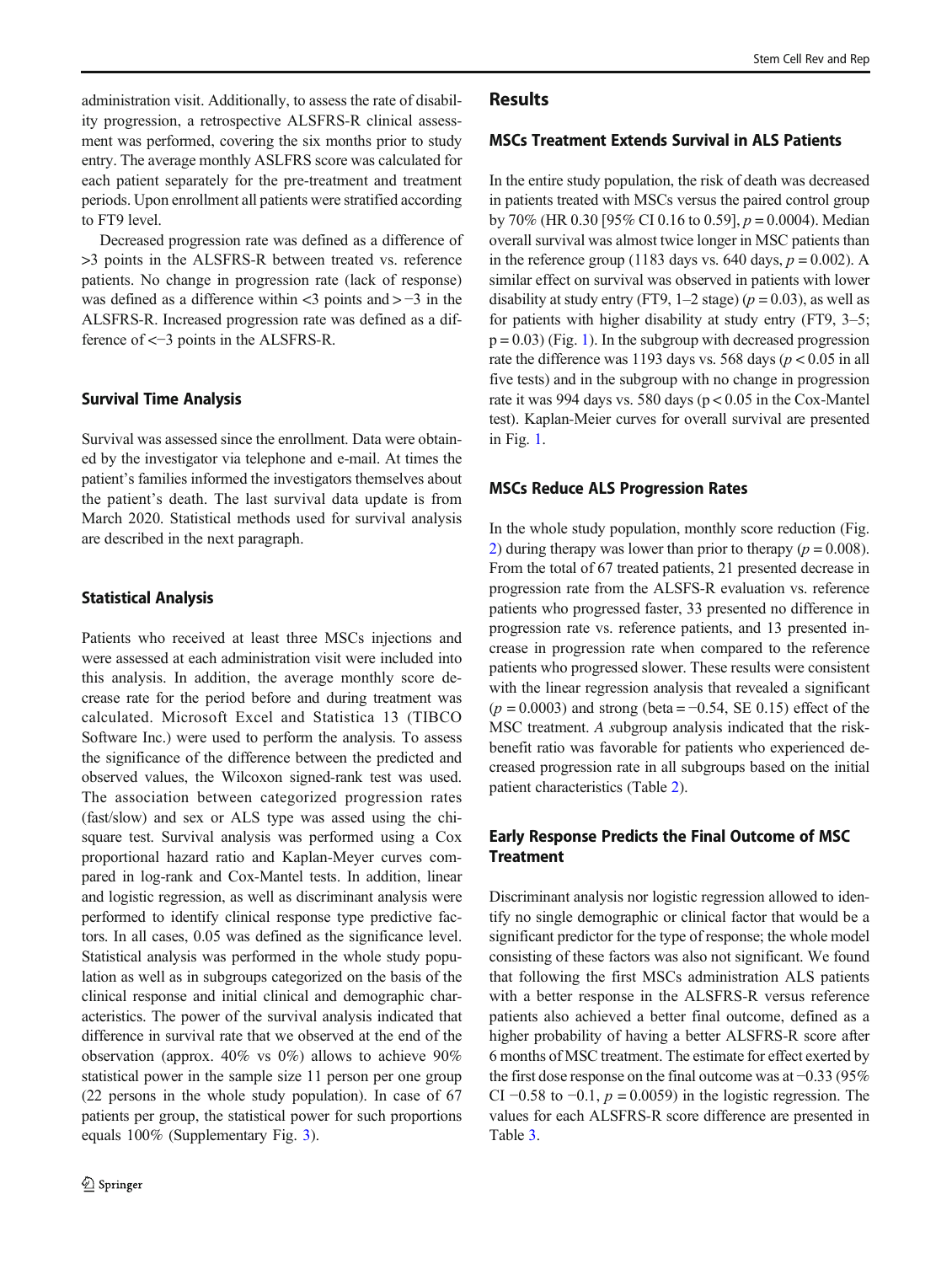administration visit. Additionally, to assess the rate of disability progression, a retrospective ALSFRS-R clinical assessment was performed, covering the six months prior to study entry. The average monthly ASLFRS score was calculated for each patient separately for the pre-treatment and treatment periods. Upon enrollment all patients were stratified according to FT9 level.

Decreased progression rate was defined as a difference of >3 points in the ALSFRS-R between treated vs. reference patients. No change in progression rate (lack of response) was defined as a difference within  $\lt3$  points and  $> -3$  in the ALSFRS-R. Increased progression rate was defined as a difference of <−3 points in the ALSFRS-R.

#### Survival Time Analysis

Survival was assessed since the enrollment. Data were obtained by the investigator via telephone and e-mail. At times the patient's families informed the investigators themselves about the patient's death. The last survival data update is from March 2020. Statistical methods used for survival analysis are described in the next paragraph.

#### Statistical Analysis

Patients who received at least three MSCs injections and were assessed at each administration visit were included into this analysis. In addition, the average monthly score decrease rate for the period before and during treatment was calculated. Microsoft Excel and Statistica 13 (TIBCO Software Inc.) were used to perform the analysis. To assess the significance of the difference between the predicted and observed values, the Wilcoxon signed-rank test was used. The association between categorized progression rates (fast/slow) and sex or ALS type was assed using the chisquare test. Survival analysis was performed using a Cox proportional hazard ratio and Kaplan-Meyer curves compared in log-rank and Cox-Mantel tests. In addition, linear and logistic regression, as well as discriminant analysis were performed to identify clinical response type predictive factors. In all cases, 0.05 was defined as the significance level. Statistical analysis was performed in the whole study population as well as in subgroups categorized on the basis of the clinical response and initial clinical and demographic characteristics. The power of the survival analysis indicated that difference in survival rate that we observed at the end of the observation (approx. 40% vs 0%) allows to achieve 90% statistical power in the sample size 11 person per one group (22 persons in the whole study population). In case of 67 patients per group, the statistical power for such proportions equals 100% (Supplementary Fig. 3).

#### **Results**

#### MSCs Treatment Extends Survival in ALS Patients

In the entire study population, the risk of death was decreased in patients treated with MSCs versus the paired control group by 70% (HR 0.30 [95% CI 0.16 to 0.59],  $p = 0.0004$ ). Median overall survival was almost twice longer in MSC patients than in the reference group (1183 days vs. 640 days,  $p = 0.002$ ). A similar effect on survival was observed in patients with lower disability at study entry (FT9, 1–2 stage) ( $p = 0.03$ ), as well as for patients with higher disability at study entry (FT9, 3–5;  $p = 0.03$ ) (Fig. [1\)](#page-4-0). In the subgroup with decreased progression rate the difference was 1193 days vs. 568 days ( $p < 0.05$  in all five tests) and in the subgroup with no change in progression rate it was 994 days vs. 580 days ( $p < 0.05$  in the Cox-Mantel test). Kaplan-Meier curves for overall survival are presented in Fig. [1](#page-4-0).

#### MSCs Reduce ALS Progression Rates

In the whole study population, monthly score reduction (Fig. [2](#page-5-0)) during therapy was lower than prior to therapy ( $p = 0.008$ ). From the total of 67 treated patients, 21 presented decrease in progression rate from the ALSFS-R evaluation vs. reference patients who progressed faster, 33 presented no difference in progression rate vs. reference patients, and 13 presented increase in progression rate when compared to the reference patients who progressed slower. These results were consistent with the linear regression analysis that revealed a significant  $(p = 0.0003)$  and strong (beta = −0.54, SE 0.15) effect of the MSC treatment. A subgroup analysis indicated that the riskbenefit ratio was favorable for patients who experienced decreased progression rate in all subgroups based on the initial patient characteristics (Table [2\)](#page-6-0).

## Early Response Predicts the Final Outcome of MSC **Treatment**

Discriminant analysis nor logistic regression allowed to identify no single demographic or clinical factor that would be a significant predictor for the type of response; the whole model consisting of these factors was also not significant. We found that following the first MSCs administration ALS patients with a better response in the ALSFRS-R versus reference patients also achieved a better final outcome, defined as a higher probability of having a better ALSFRS-R score after 6 months of MSC treatment. The estimate for effect exerted by the first dose response on the final outcome was at −0.33 (95% CI  $-0.58$  to  $-0.1$ ,  $p = 0.0059$ ) in the logistic regression. The values for each ALSFRS-R score difference are presented in Table [3.](#page-7-0)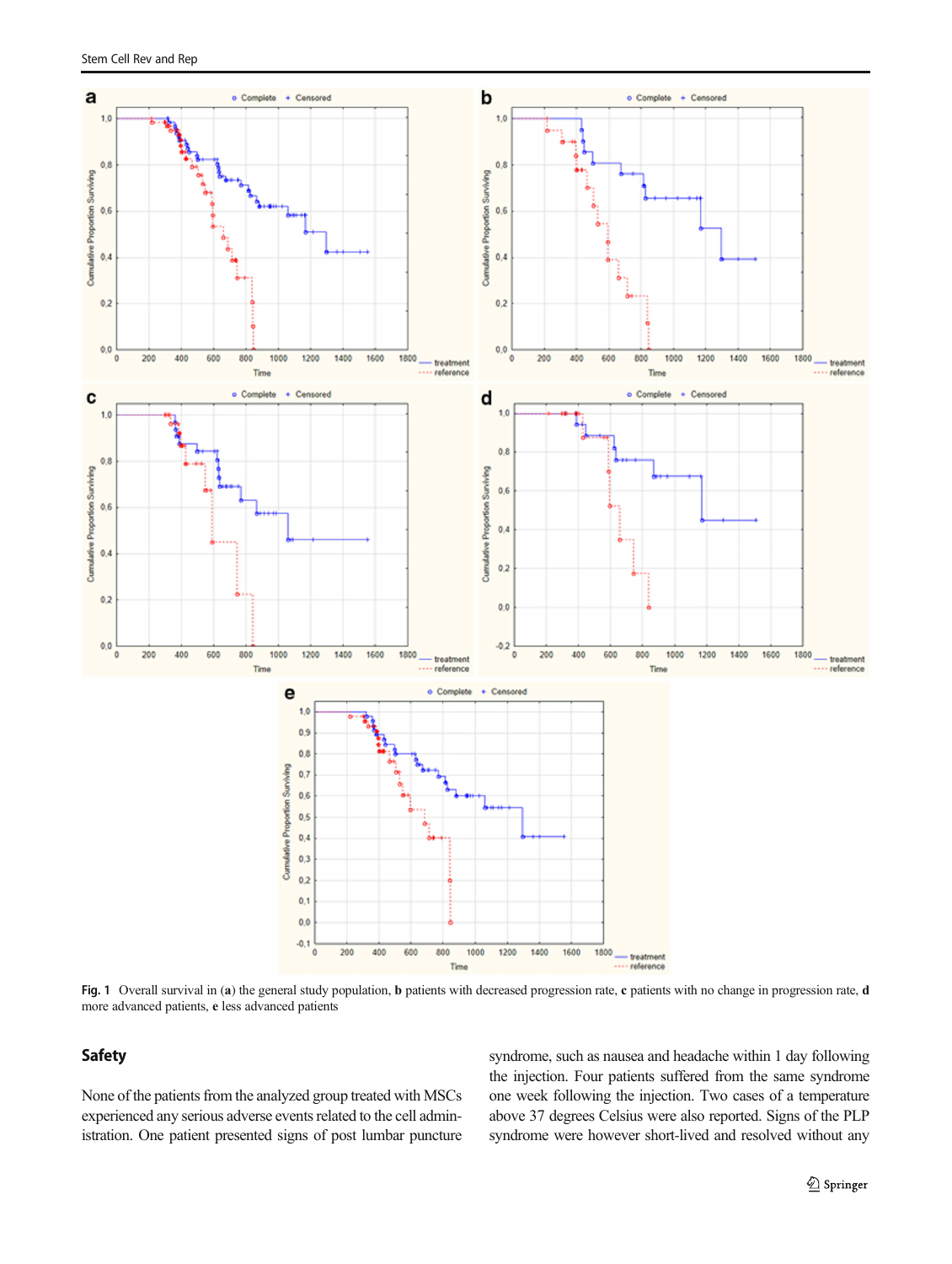<span id="page-4-0"></span>

Fig. 1 Overall survival in (a) the general study population, b patients with decreased progression rate, c patients with no change in progression rate, d more advanced patients, e less advanced patients

## Safety

None of the patients from the analyzed group treated with MSCs experienced any serious adverse events related to the cell administration. One patient presented signs of post lumbar puncture syndrome, such as nausea and headache within 1 day following the injection. Four patients suffered from the same syndrome one week following the injection. Two cases of a temperature above 37 degrees Celsius were also reported. Signs of the PLP syndrome were however short-lived and resolved without any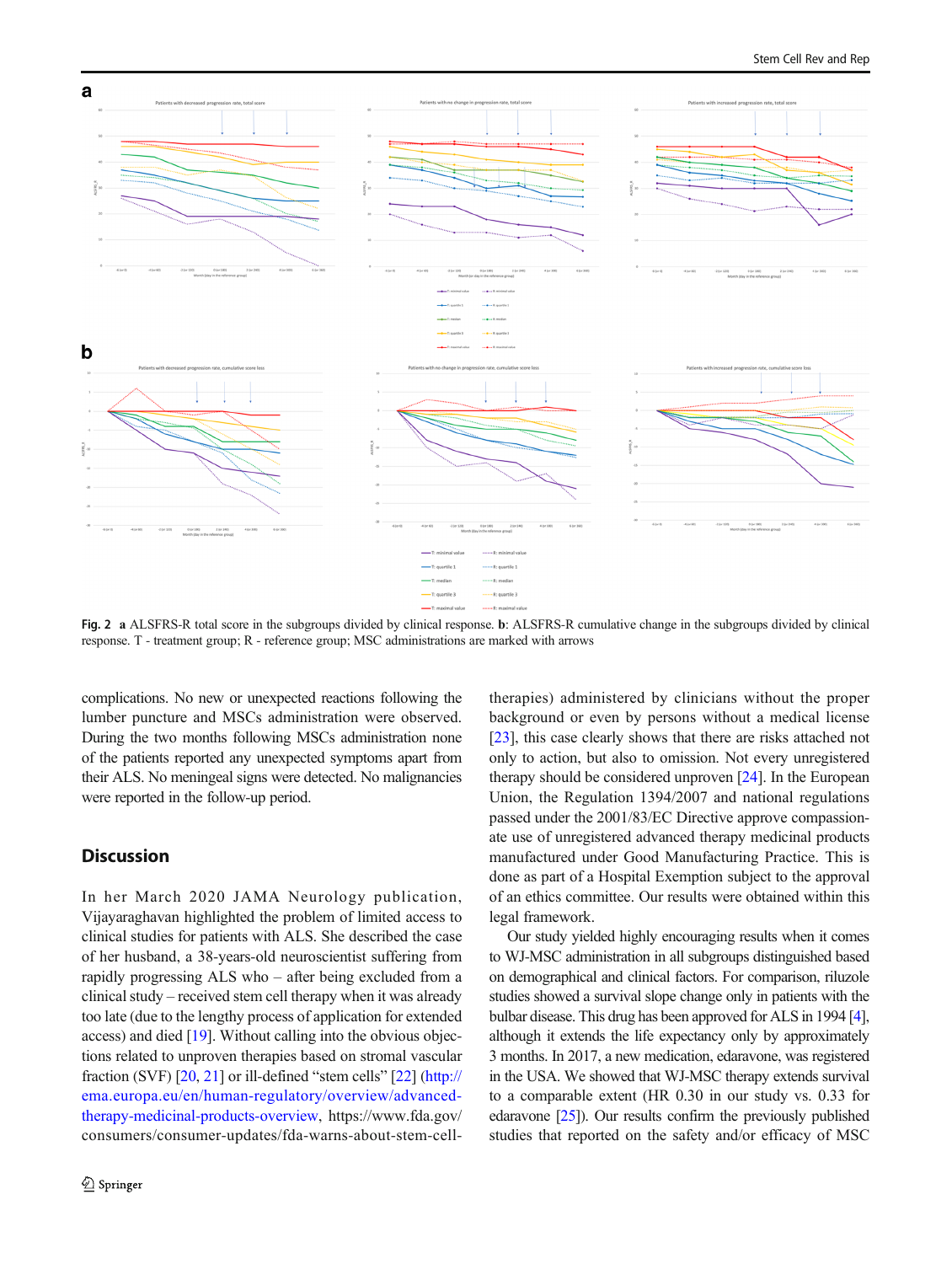<span id="page-5-0"></span>

Fig. 2 a ALSFRS-R total score in the subgroups divided by clinical response. b: ALSFRS-R cumulative change in the subgroups divided by clinical response. T - treatment group; R - reference group; MSC administrations are marked with arrows

complications. No new or unexpected reactions following the lumber puncture and MSCs administration were observed. During the two months following MSCs administration none of the patients reported any unexpected symptoms apart from their ALS. No meningeal signs were detected. No malignancies were reported in the follow-up period.

## **Discussion**

In her March 2020 JAMA Neurology publication, Vijayaraghavan highlighted the problem of limited access to clinical studies for patients with ALS. She described the case of her husband, a 38-years-old neuroscientist suffering from rapidly progressing ALS who – after being excluded from a clinical study – received stem cell therapy when it was already too late (due to the lengthy process of application for extended access) and died [[19\]](#page-9-0). Without calling into the obvious objections related to unproven therapies based on stromal vascular fraction (SVF) [\[20,](#page-9-0) [21](#page-9-0)] or ill-defined "stem cells" [[22\]](#page-9-0) [\(http://](http://ema.europa.eu/en/human-egulatory/overview/advanced-herapyedicinal-roductsverview) [ema.europa.eu/en/human-regulatory/overview/advanced](http://ema.europa.eu/en/human-egulatory/overview/advanced-herapyedicinal-roductsverview)[therapy-medicinal-products-overview](http://ema.europa.eu/en/human-egulatory/overview/advanced-herapyedicinal-roductsverview), https://www.fda.gov/ consumers/consumer-updates/fda-warns-about-stem-cell-

therapies) administered by clinicians without the proper background or even by persons without a medical license [\[23](#page-9-0)], this case clearly shows that there are risks attached not only to action, but also to omission. Not every unregistered therapy should be considered unproven [\[24](#page-9-0)]. In the European Union, the Regulation 1394/2007 and national regulations passed under the 2001/83/EC Directive approve compassionate use of unregistered advanced therapy medicinal products manufactured under Good Manufacturing Practice. This is done as part of a Hospital Exemption subject to the approval of an ethics committee. Our results were obtained within this legal framework.

Our study yielded highly encouraging results when it comes to WJ-MSC administration in all subgroups distinguished based on demographical and clinical factors. For comparison, riluzole studies showed a survival slope change only in patients with the bulbar disease. This drug has been approved for ALS in 1994 [\[4\]](#page-8-0), although it extends the life expectancy only by approximately 3 months. In 2017, a new medication, edaravone, was registered in the USA. We showed that WJ-MSC therapy extends survival to a comparable extent (HR 0.30 in our study vs. 0.33 for edaravone [\[25](#page-9-0)]). Our results confirm the previously published studies that reported on the safety and/or efficacy of MSC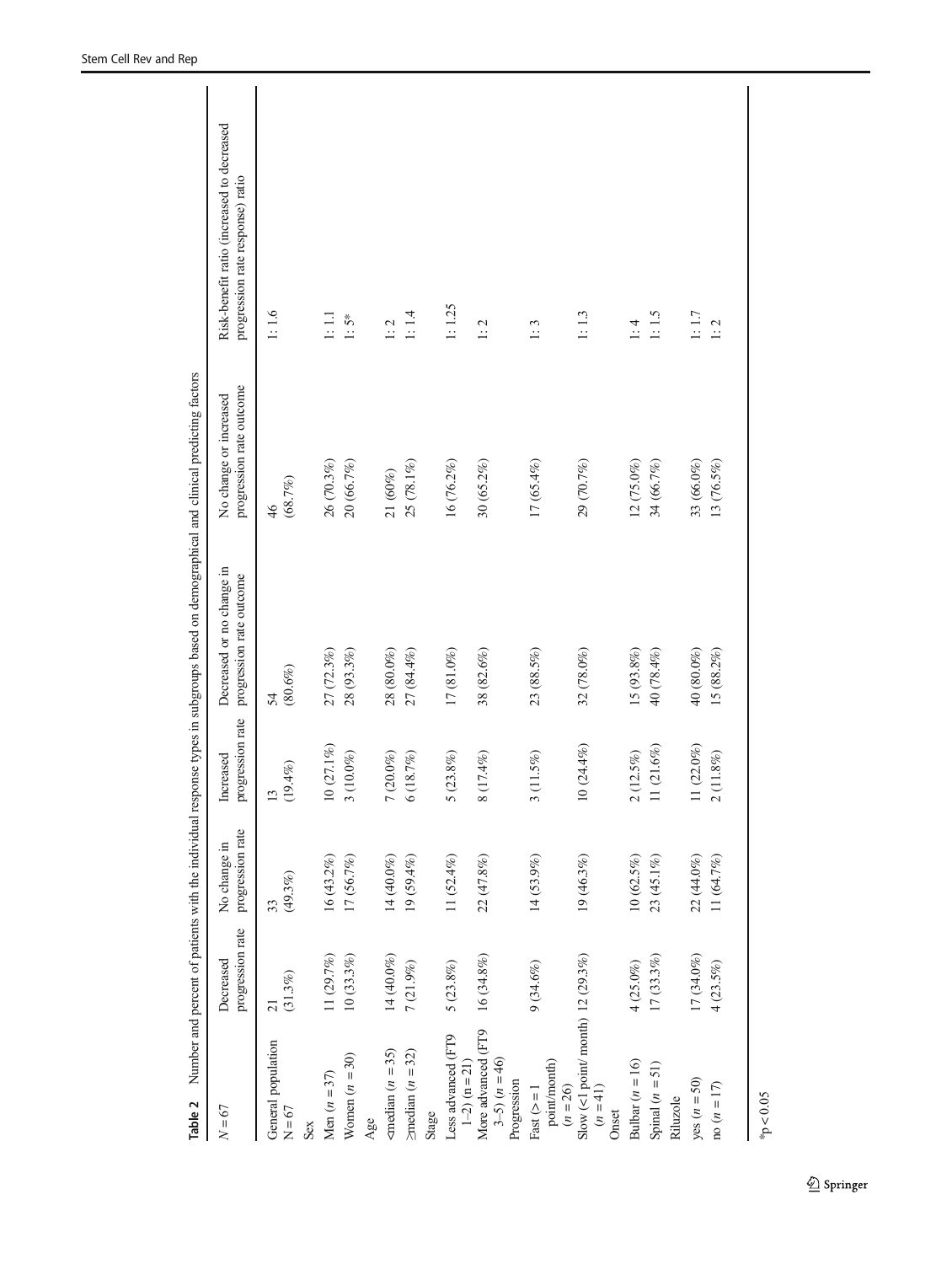<span id="page-6-0"></span>

| Table 2                                                 |                               |                                  |                               | Number and percent of patients with the individual response types in subgroups based on demographical and clinical predicting factors |                                                    |                                                                                |
|---------------------------------------------------------|-------------------------------|----------------------------------|-------------------------------|---------------------------------------------------------------------------------------------------------------------------------------|----------------------------------------------------|--------------------------------------------------------------------------------|
| $N = 67$                                                | progression rate<br>Decreased | progression rate<br>No change in | progression rate<br>Increased | Decreased or no change in<br>progression rate outcome                                                                                 | progression rate outcome<br>No change or increased | Risk-benefit ratio (increased to decreased<br>progression rate response) ratio |
| General population<br>$N = 67$                          | $(31.3\%)$<br>$\overline{21}$ | $(49.3\%)$<br>33                 | $(19.4\%)$                    | $(80.6\%)$<br>54                                                                                                                      | (68.7%)<br>$\frac{46}{5}$                          | 1:1.6                                                                          |
| Sex                                                     |                               |                                  |                               |                                                                                                                                       |                                                    |                                                                                |
| Men $(n = 37)$                                          | 11 (29.7%)                    | 16 $(43.2%)$                     | $10(27.1\%)$                  | 27 (72.3%)                                                                                                                            | 26 (70.3%)                                         | $1:1.1\,$                                                                      |
| Women $(n = 30)$                                        | $10~(33.3\%)$                 | 17 (56.7%)                       | $3(10.0\%)$                   | $28(93.3\%)$                                                                                                                          | 20 (66.7%)                                         | $1:5*$                                                                         |
| Age                                                     |                               |                                  |                               |                                                                                                                                       |                                                    |                                                                                |
| $\epsilon$ median ( <i>n</i> = 35)                      | 14 (40.0%)                    | 14 (40.0%)                       | $7(20.0\%)$                   | 28 (80.0%)                                                                                                                            | 21(60%)                                            | $1:2$                                                                          |
| $\geq$ median ( <i>n</i> = 32)                          | $7(21.9\%)$                   | $19(59.4\%)$                     | 6(18.7%)                      | 27 (84.4%)                                                                                                                            | 25 (78.1%)                                         | 1:1.4                                                                          |
| Stage                                                   |                               |                                  |                               |                                                                                                                                       |                                                    |                                                                                |
| Less advanced (FT9<br>$1-2$ (n = 21)                    | $5\ (23.8\%)$                 | 11 $(52.4\%)$                    | $5(23.8\%)$                   | $17(81.0\%)$                                                                                                                          | 16 (76.2%)                                         | 1:1.25                                                                         |
| More advanced (FT9<br>$3-5$ $(n = 46)$<br>Progression   | 16 (34.8%)                    | 22 (47.8%)                       | (17.4%)<br>$\infty$           | 38 (82.6%)                                                                                                                            | 30 (65.2%)                                         | 1:2                                                                            |
| $point/morth)$<br>Fast $(>= 1$<br>$(n = 26)$            | 9(34.6%)                      | 14 (53.9%)                       | $(11.5\%)$<br>3               | 23 (88.5%)                                                                                                                            | $17(65.4\%)$                                       | 1:3                                                                            |
| Slow (<1 point/month) 12 (29.3%)<br>$(n = 41)$<br>Onset |                               | 19 (46.3%)                       | 0(24.4%)                      | 32 (78.0%)                                                                                                                            | 29 (70.7%)                                         | 1:1.3                                                                          |
| Bulbar ( $n = 16$ )                                     | $4(25.0\%)$                   | $10(62.5\%)$                     | $(12.5\%)$<br>$\mathcal{L}$   | $15(93.8\%)$                                                                                                                          | 12 (75.0%)                                         | $1:4$                                                                          |
| Spinal $(n = 51)$<br>Riluzole                           | $17(33.3\%)$                  | 23 (45.1%)                       | $1(21.6\%)$                   | 40 (78.4%)                                                                                                                            | 34 (66.7%)                                         | $1:1.5$                                                                        |
| yes $(n = 50)$                                          | 17 (34.0%)                    | 22 (44.0%)                       | $1(22.0\%)$                   | 40 (80.0%)                                                                                                                            | 33 (66.0%)                                         | $1:1.7\,$                                                                      |
| $\cos(n = 17)$                                          | 4(23.5%)                      | 11(64.7%)                        | $(11.8\%)$<br>$\sim$          | $15(88.2\%)$                                                                                                                          | 13 (76.5%)                                         | 1:2                                                                            |
| p < 0.05                                                |                               |                                  |                               |                                                                                                                                       |                                                    |                                                                                |

 $\underline{\textcircled{\tiny 2}}$  Springer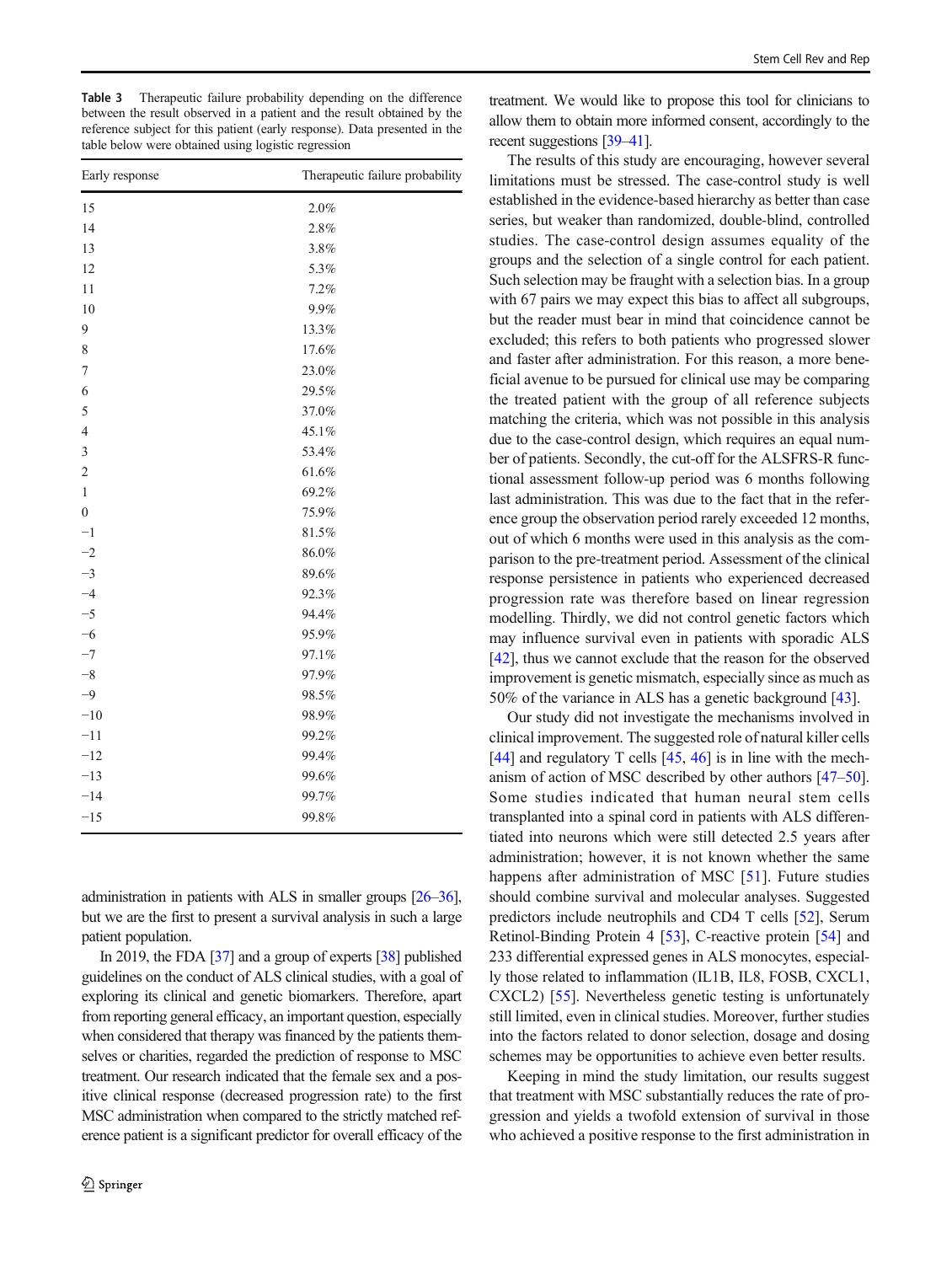<span id="page-7-0"></span>Table 3 Therapeutic failure probability depending on the difference between the result observed in a patient and the result obtained by the reference subject for this patient (early response). Data presented in the table below were obtained using logistic regression

| Early response   | Therapeutic failure probability |  |
|------------------|---------------------------------|--|
| 15               | $2.0\%$                         |  |
| 14               | 2.8%                            |  |
| 13               | $3.8\%$                         |  |
| 12               | 5.3%                            |  |
| 11               | 7.2%                            |  |
| 10               | 9.9%                            |  |
| 9                | 13.3%                           |  |
| $\,$ $\,$        | 17.6%                           |  |
| 7                | 23.0%                           |  |
| 6                | 29.5%                           |  |
| 5                | $37.0\%$                        |  |
| $\overline{4}$   | 45.1%                           |  |
| $\mathfrak{Z}$   | 53.4%                           |  |
| $\overline{c}$   | 61.6%                           |  |
| $\mathbf{1}$     | 69.2%                           |  |
| $\boldsymbol{0}$ | 75.9%                           |  |
| $-1$             | $81.5\%$                        |  |
| $-2$             | 86.0%                           |  |
| $-3$             | 89.6%                           |  |
| $-4$             | 92.3%                           |  |
| $-5$             | 94.4%                           |  |
| $-6$             | 95.9%                           |  |
| $-7$             | 97.1%                           |  |
| $-8$             | 97.9%                           |  |
| $-9$             | 98.5%                           |  |
| $-10$            | 98.9%                           |  |
| $-11$            | 99.2%                           |  |
| $-12$            | 99.4%                           |  |
| $-13$            | 99.6%                           |  |
| $-14$            | 99.7%                           |  |
| $-15$            | 99.8%                           |  |

administration in patients with ALS in smaller groups [\[26](#page-9-0)–[36\]](#page-9-0), but we are the first to present a survival analysis in such a large patient population.

In 2019, the FDA [\[37\]](#page-9-0) and a group of experts [\[38](#page-9-0)] published guidelines on the conduct of ALS clinical studies, with a goal of exploring its clinical and genetic biomarkers. Therefore, apart from reporting general efficacy, an important question, especially when considered that therapy was financed by the patients themselves or charities, regarded the prediction of response to MSC treatment. Our research indicated that the female sex and a positive clinical response (decreased progression rate) to the first MSC administration when compared to the strictly matched reference patient is a significant predictor for overall efficacy of the

treatment. We would like to propose this tool for clinicians to allow them to obtain more informed consent, accordingly to the recent suggestions [[39](#page-9-0)–[41](#page-9-0)].

The results of this study are encouraging, however several limitations must be stressed. The case-control study is well established in the evidence-based hierarchy as better than case series, but weaker than randomized, double-blind, controlled studies. The case-control design assumes equality of the groups and the selection of a single control for each patient. Such selection may be fraught with a selection bias. In a group with 67 pairs we may expect this bias to affect all subgroups, but the reader must bear in mind that coincidence cannot be excluded; this refers to both patients who progressed slower and faster after administration. For this reason, a more beneficial avenue to be pursued for clinical use may be comparing the treated patient with the group of all reference subjects matching the criteria, which was not possible in this analysis due to the case-control design, which requires an equal number of patients. Secondly, the cut-off for the ALSFRS-R functional assessment follow-up period was 6 months following last administration. This was due to the fact that in the reference group the observation period rarely exceeded 12 months, out of which 6 months were used in this analysis as the comparison to the pre-treatment period. Assessment of the clinical response persistence in patients who experienced decreased progression rate was therefore based on linear regression modelling. Thirdly, we did not control genetic factors which may influence survival even in patients with sporadic ALS [\[42](#page-9-0)], thus we cannot exclude that the reason for the observed improvement is genetic mismatch, especially since as much as 50% of the variance in ALS has a genetic background [\[43\]](#page-10-0).

Our study did not investigate the mechanisms involved in clinical improvement. The suggested role of natural killer cells [\[44](#page-10-0)] and regulatory T cells  $[45, 46]$  $[45, 46]$  $[45, 46]$  $[45, 46]$  is in line with the mechanism of action of MSC described by other authors [\[47](#page-10-0)–[50\]](#page-10-0). Some studies indicated that human neural stem cells transplanted into a spinal cord in patients with ALS differentiated into neurons which were still detected 2.5 years after administration; however, it is not known whether the same happens after administration of MSC [[51\]](#page-10-0). Future studies should combine survival and molecular analyses. Suggested predictors include neutrophils and CD4 T cells [\[52\]](#page-10-0), Serum Retinol-Binding Protein 4 [\[53](#page-10-0)], C-reactive protein [\[54](#page-10-0)] and 233 differential expressed genes in ALS monocytes, especially those related to inflammation (IL1B, IL8, FOSB, CXCL1, CXCL2) [\[55](#page-10-0)]. Nevertheless genetic testing is unfortunately still limited, even in clinical studies. Moreover, further studies into the factors related to donor selection, dosage and dosing schemes may be opportunities to achieve even better results.

Keeping in mind the study limitation, our results suggest that treatment with MSC substantially reduces the rate of progression and yields a twofold extension of survival in those who achieved a positive response to the first administration in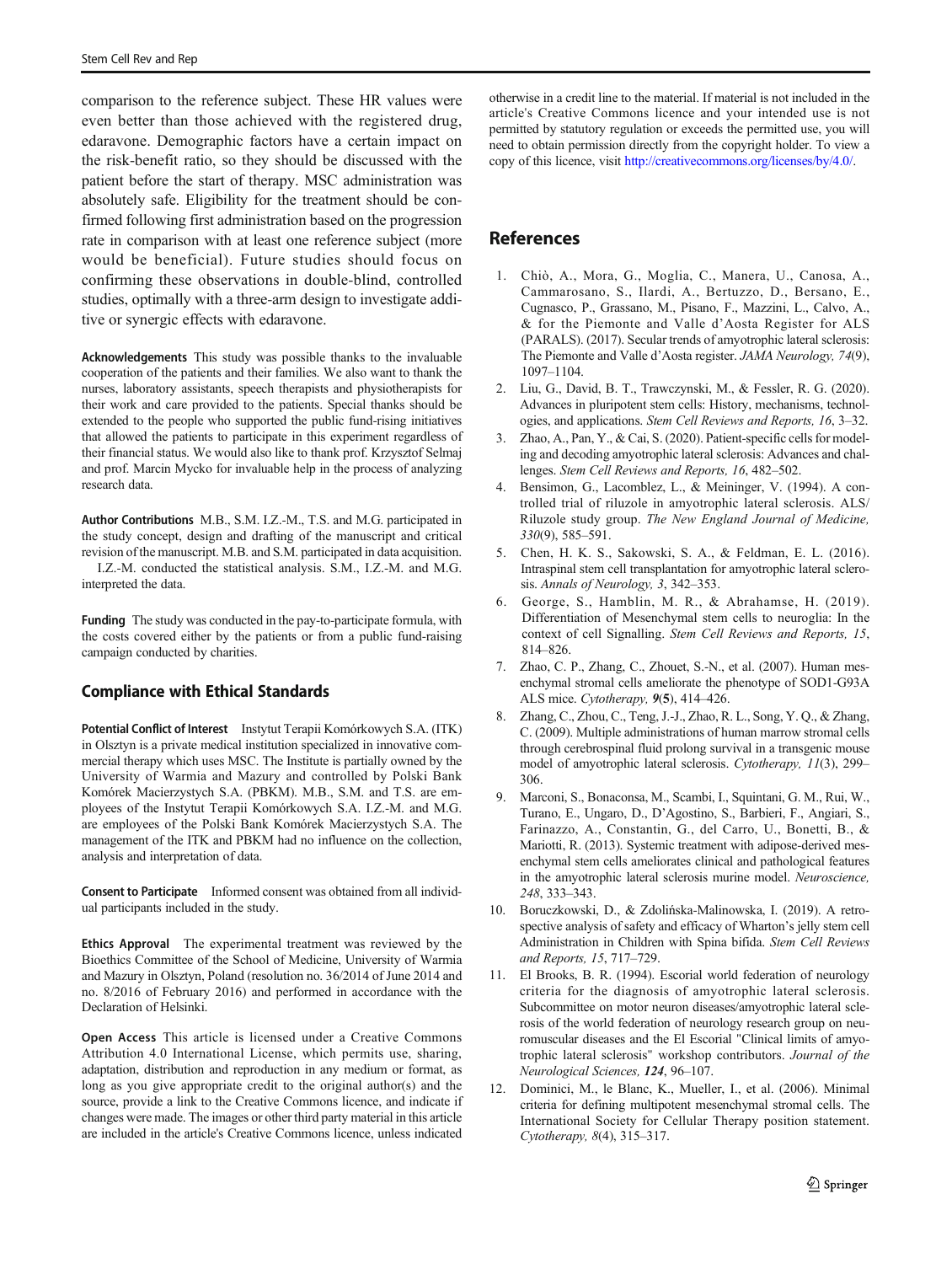<span id="page-8-0"></span>comparison to the reference subject. These HR values were even better than those achieved with the registered drug, edaravone. Demographic factors have a certain impact on the risk-benefit ratio, so they should be discussed with the patient before the start of therapy. MSC administration was absolutely safe. Eligibility for the treatment should be confirmed following first administration based on the progression rate in comparison with at least one reference subject (more would be beneficial). Future studies should focus on confirming these observations in double-blind, controlled studies, optimally with a three-arm design to investigate additive or synergic effects with edaravone.

Acknowledgements This study was possible thanks to the invaluable cooperation of the patients and their families. We also want to thank the nurses, laboratory assistants, speech therapists and physiotherapists for their work and care provided to the patients. Special thanks should be extended to the people who supported the public fund-rising initiatives that allowed the patients to participate in this experiment regardless of their financial status. We would also like to thank prof. Krzysztof Selmaj and prof. Marcin Mycko for invaluable help in the process of analyzing research data.

Author Contributions M.B., S.M. I.Z.-M., T.S. and M.G. participated in the study concept, design and drafting of the manuscript and critical revision of the manuscript. M.B. and S.M. participated in data acquisition.

I.Z.-M. conducted the statistical analysis. S.M., I.Z.-M. and M.G. interpreted the data.

Funding The study was conducted in the pay-to-participate formula, with the costs covered either by the patients or from a public fund-raising campaign conducted by charities.

## Compliance with Ethical Standards

Potential Conflict of Interest Instytut Terapii Komórkowych S.A. (ITK) in Olsztyn is a private medical institution specialized in innovative commercial therapy which uses MSC. The Institute is partially owned by the University of Warmia and Mazury and controlled by Polski Bank Komórek Macierzystych S.A. (PBKM). M.B., S.M. and T.S. are employees of the Instytut Terapii Komórkowych S.A. I.Z.-M. and M.G. are employees of the Polski Bank Komórek Macierzystych S.A. The management of the ITK and PBKM had no influence on the collection, analysis and interpretation of data.

Consent to Participate Informed consent was obtained from all individual participants included in the study.

Ethics Approval The experimental treatment was reviewed by the Bioethics Committee of the School of Medicine, University of Warmia and Mazury in Olsztyn, Poland (resolution no. 36/2014 of June 2014 and no. 8/2016 of February 2016) and performed in accordance with the Declaration of Helsinki.

Open Access This article is licensed under a Creative Commons Attribution 4.0 International License, which permits use, sharing, adaptation, distribution and reproduction in any medium or format, as long as you give appropriate credit to the original author(s) and the source, provide a link to the Creative Commons licence, and indicate if changes were made. The images or other third party material in this article are included in the article's Creative Commons licence, unless indicated

otherwise in a credit line to the material. If material is not included in the article's Creative Commons licence and your intended use is not permitted by statutory regulation or exceeds the permitted use, you will need to obtain permission directly from the copyright holder. To view a copy of this licence, visit [http://creativecommons.org/licenses/by/4.0/.](https://doi.org/)

## **References**

- 1. Chiò, A., Mora, G., Moglia, C., Manera, U., Canosa, A., Cammarosano, S., Ilardi, A., Bertuzzo, D., Bersano, E., Cugnasco, P., Grassano, M., Pisano, F., Mazzini, L., Calvo, A., & for the Piemonte and Valle d'Aosta Register for ALS (PARALS). (2017). Secular trends of amyotrophic lateral sclerosis: The Piemonte and Valle d'Aosta register. JAMA Neurology, 74(9), 1097–1104.
- 2. Liu, G., David, B. T., Trawczynski, M., & Fessler, R. G. (2020). Advances in pluripotent stem cells: History, mechanisms, technologies, and applications. Stem Cell Reviews and Reports, 16, 3–32.
- 3. Zhao, A., Pan, Y., & Cai, S. (2020). Patient-specific cells for modeling and decoding amyotrophic lateral sclerosis: Advances and challenges. Stem Cell Reviews and Reports, 16, 482–502.
- 4. Bensimon, G., Lacomblez, L., & Meininger, V. (1994). A controlled trial of riluzole in amyotrophic lateral sclerosis. ALS/ Riluzole study group. The New England Journal of Medicine, 330(9), 585–591.
- 5. Chen, H. K. S., Sakowski, S. A., & Feldman, E. L. (2016). Intraspinal stem cell transplantation for amyotrophic lateral sclerosis. Annals of Neurology, 3, 342–353.
- 6. George, S., Hamblin, M. R., & Abrahamse, H. (2019). Differentiation of Mesenchymal stem cells to neuroglia: In the context of cell Signalling. Stem Cell Reviews and Reports, 15, 814–826.
- 7. Zhao, C. P., Zhang, C., Zhouet, S.-N., et al. (2007). Human mesenchymal stromal cells ameliorate the phenotype of SOD1-G93A ALS mice. Cytotherapy, 9(5), 414–426.
- 8. Zhang, C., Zhou, C., Teng, J.-J., Zhao, R. L., Song, Y. Q., & Zhang, C. (2009). Multiple administrations of human marrow stromal cells through cerebrospinal fluid prolong survival in a transgenic mouse model of amyotrophic lateral sclerosis. Cytotherapy, 11(3), 299– 306.
- 9. Marconi, S., Bonaconsa, M., Scambi, I., Squintani, G. M., Rui, W., Turano, E., Ungaro, D., D'Agostino, S., Barbieri, F., Angiari, S., Farinazzo, A., Constantin, G., del Carro, U., Bonetti, B., & Mariotti, R. (2013). Systemic treatment with adipose-derived mesenchymal stem cells ameliorates clinical and pathological features in the amyotrophic lateral sclerosis murine model. Neuroscience, 248, 333–343.
- 10. Boruczkowski, D., & Zdolińska-Malinowska, I. (2019). A retrospective analysis of safety and efficacy of Wharton's jelly stem cell Administration in Children with Spina bifida. Stem Cell Reviews and Reports, 15, 717–729.
- 11. El Brooks, B. R. (1994). Escorial world federation of neurology criteria for the diagnosis of amyotrophic lateral sclerosis. Subcommittee on motor neuron diseases/amyotrophic lateral sclerosis of the world federation of neurology research group on neuromuscular diseases and the El Escorial "Clinical limits of amyotrophic lateral sclerosis" workshop contributors. Journal of the Neurological Sciences, 124, 96–107.
- 12. Dominici, M., le Blanc, K., Mueller, I., et al. (2006). Minimal criteria for defining multipotent mesenchymal stromal cells. The International Society for Cellular Therapy position statement. Cytotherapy, 8(4), 315–317.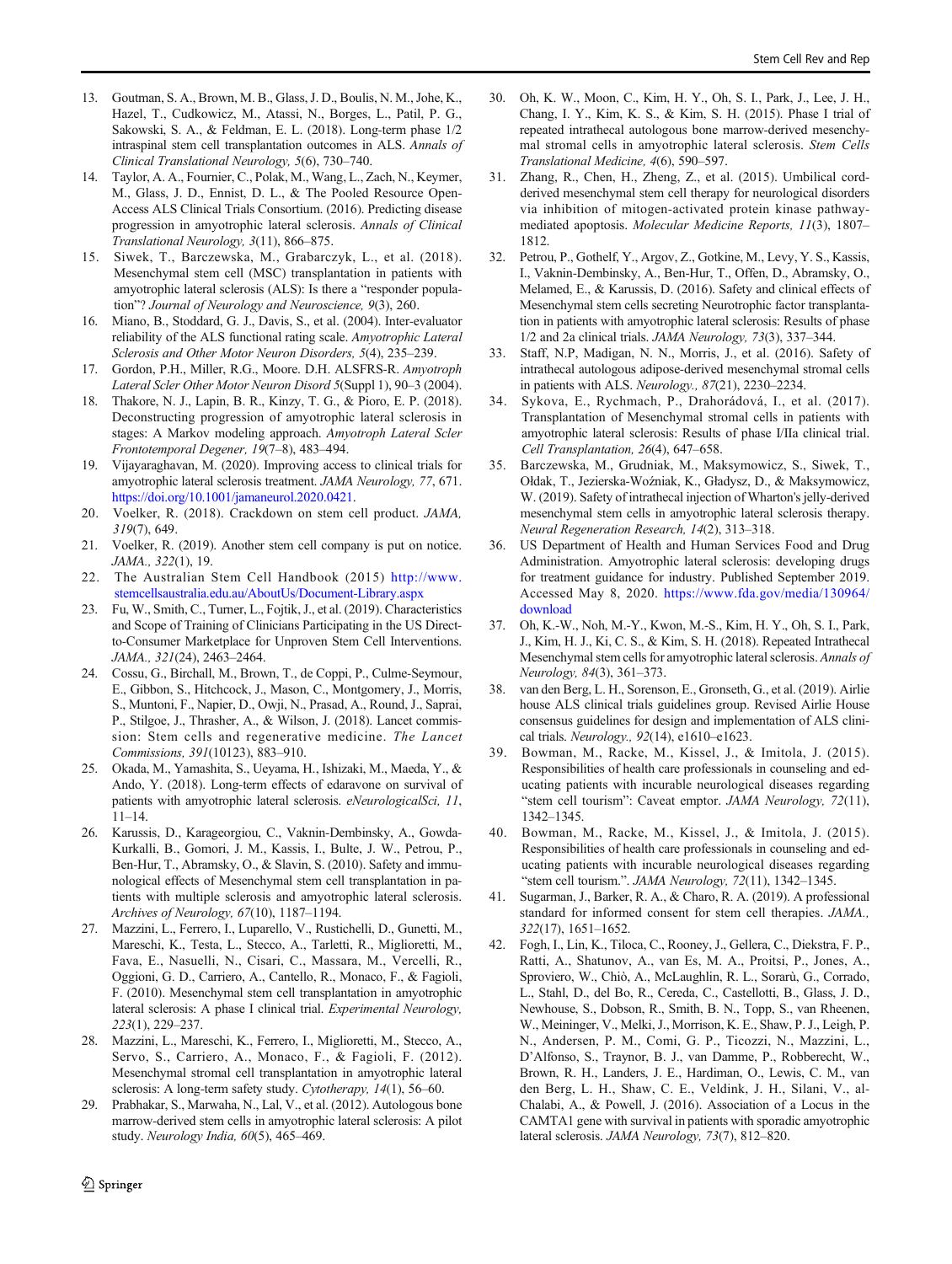- <span id="page-9-0"></span>13. Goutman, S. A., Brown, M. B., Glass, J. D., Boulis, N. M., Johe, K., Hazel, T., Cudkowicz, M., Atassi, N., Borges, L., Patil, P. G., Sakowski, S. A., & Feldman, E. L. (2018). Long-term phase 1/2 intraspinal stem cell transplantation outcomes in ALS. Annals of Clinical Translational Neurology, 5(6), 730–740.
- 14. Taylor, A. A., Fournier, C., Polak, M., Wang, L., Zach, N., Keymer, M., Glass, J. D., Ennist, D. L., & The Pooled Resource Open-Access ALS Clinical Trials Consortium. (2016). Predicting disease progression in amyotrophic lateral sclerosis. Annals of Clinical Translational Neurology, 3(11), 866–875.
- 15. Siwek, T., Barczewska, M., Grabarczyk, L., et al. (2018). Mesenchymal stem cell (MSC) transplantation in patients with amyotrophic lateral sclerosis (ALS): Is there a "responder population"? Journal of Neurology and Neuroscience, 9(3), 260.
- 16. Miano, B., Stoddard, G. J., Davis, S., et al. (2004). Inter-evaluator reliability of the ALS functional rating scale. Amyotrophic Lateral Sclerosis and Other Motor Neuron Disorders, 5(4), 235–239.
- 17. Gordon, P.H., Miller, R.G., Moore. D.H. ALSFRS-R. Amyotroph Lateral Scler Other Motor Neuron Disord 5(Suppl 1), 90–3 (2004).
- 18. Thakore, N. J., Lapin, B. R., Kinzy, T. G., & Pioro, E. P. (2018). Deconstructing progression of amyotrophic lateral sclerosis in stages: A Markov modeling approach. Amyotroph Lateral Scler Frontotemporal Degener, 19(7–8), 483–494.
- 19. Vijayaraghavan, M. (2020). Improving access to clinical trials for amyotrophic lateral sclerosis treatment. JAMA Neurology, 77, 671. [https://doi.org/10.1001/jamaneurol.2020.0421.](https://doi.org/10.1001/jamaneurol.2020.0421)
- 20. Voelker, R. (2018). Crackdown on stem cell product. JAMA, 319(7), 649.
- 21. Voelker, R. (2019). Another stem cell company is put on notice. JAMA., 322(1), 19.
- 22. The Australian Stem Cell Handbook (2015) [http://www.](http://www.stemcellsaustralia.edu.au/AboutUs/Document-ibrary.aspx) [stemcellsaustralia.edu.au/AboutUs/Document-Library.aspx](http://www.stemcellsaustralia.edu.au/AboutUs/Document-ibrary.aspx)
- 23. Fu, W., Smith, C., Turner, L., Fojtik, J., et al. (2019). Characteristics and Scope of Training of Clinicians Participating in the US Directto-Consumer Marketplace for Unproven Stem Cell Interventions. JAMA., 321(24), 2463–2464.
- 24. Cossu, G., Birchall, M., Brown, T., de Coppi, P., Culme-Seymour, E., Gibbon, S., Hitchcock, J., Mason, C., Montgomery, J., Morris, S., Muntoni, F., Napier, D., Owji, N., Prasad, A., Round, J., Saprai, P., Stilgoe, J., Thrasher, A., & Wilson, J. (2018). Lancet commission: Stem cells and regenerative medicine. The Lancet Commissions, 391(10123), 883–910.
- 25. Okada, M., Yamashita, S., Ueyama, H., Ishizaki, M., Maeda, Y., & Ando, Y. (2018). Long-term effects of edaravone on survival of patients with amyotrophic lateral sclerosis. eNeurologicalSci, 11, 11–14.
- 26. Karussis, D., Karageorgiou, C., Vaknin-Dembinsky, A., Gowda-Kurkalli, B., Gomori, J. M., Kassis, I., Bulte, J. W., Petrou, P., Ben-Hur, T., Abramsky, O., & Slavin, S. (2010). Safety and immunological effects of Mesenchymal stem cell transplantation in patients with multiple sclerosis and amyotrophic lateral sclerosis. Archives of Neurology, 67(10), 1187–1194.
- 27. Mazzini, L., Ferrero, I., Luparello, V., Rustichelli, D., Gunetti, M., Mareschi, K., Testa, L., Stecco, A., Tarletti, R., Miglioretti, M., Fava, E., Nasuelli, N., Cisari, C., Massara, M., Vercelli, R., Oggioni, G. D., Carriero, A., Cantello, R., Monaco, F., & Fagioli, F. (2010). Mesenchymal stem cell transplantation in amyotrophic lateral sclerosis: A phase I clinical trial. Experimental Neurology, 223(1), 229–237.
- 28. Mazzini, L., Mareschi, K., Ferrero, I., Miglioretti, M., Stecco, A., Servo, S., Carriero, A., Monaco, F., & Fagioli, F. (2012). Mesenchymal stromal cell transplantation in amyotrophic lateral sclerosis: A long-term safety study. Cytotherapy, 14(1), 56–60.
- 29. Prabhakar, S., Marwaha, N., Lal, V., et al. (2012). Autologous bone marrow-derived stem cells in amyotrophic lateral sclerosis: A pilot study. Neurology India, 60(5), 465–469.
- 30. Oh, K. W., Moon, C., Kim, H. Y., Oh, S. I., Park, J., Lee, J. H., Chang, I. Y., Kim, K. S., & Kim, S. H. (2015). Phase I trial of repeated intrathecal autologous bone marrow-derived mesenchymal stromal cells in amyotrophic lateral sclerosis. Stem Cells Translational Medicine, 4(6), 590–597.
- 31. Zhang, R., Chen, H., Zheng, Z., et al. (2015). Umbilical cordderived mesenchymal stem cell therapy for neurological disorders via inhibition of mitogen-activated protein kinase pathwaymediated apoptosis. Molecular Medicine Reports, 11(3), 1807– 1812.
- 32. Petrou, P., Gothelf, Y., Argov, Z., Gotkine, M., Levy, Y. S., Kassis, I., Vaknin-Dembinsky, A., Ben-Hur, T., Offen, D., Abramsky, O., Melamed, E., & Karussis, D. (2016). Safety and clinical effects of Mesenchymal stem cells secreting Neurotrophic factor transplantation in patients with amyotrophic lateral sclerosis: Results of phase 1/2 and 2a clinical trials. JAMA Neurology, 73(3), 337–344.
- 33. Staff, N.P, Madigan, N. N., Morris, J., et al. (2016). Safety of intrathecal autologous adipose-derived mesenchymal stromal cells in patients with ALS. Neurology., 87(21), 2230–2234.
- 34. Sykova, E., Rychmach, P., Drahorádová, I., et al. (2017). Transplantation of Mesenchymal stromal cells in patients with amyotrophic lateral sclerosis: Results of phase I/IIa clinical trial. Cell Transplantation, 26(4), 647–658.
- 35. Barczewska, M., Grudniak, M., Maksymowicz, S., Siwek, T., Ołdak, T., Jezierska-Woźniak, K., Gładysz, D., & Maksymowicz, W. (2019). Safety of intrathecal injection of Wharton's jelly-derived mesenchymal stem cells in amyotrophic lateral sclerosis therapy. Neural Regeneration Research, 14(2), 313–318.
- 36. US Department of Health and Human Services Food and Drug Administration. Amyotrophic lateral sclerosis: developing drugs for treatment guidance for industry. Published September 2019. Accessed May 8, 2020. [https://www.fda.gov/media/130964/](https://www.fda.gov/media/130964/download) [download](https://www.fda.gov/media/130964/download)
- 37. Oh, K.-W., Noh, M.-Y., Kwon, M.-S., Kim, H. Y., Oh, S. I., Park, J., Kim, H. J., Ki, C. S., & Kim, S. H. (2018). Repeated Intrathecal Mesenchymal stem cells for amyotrophic lateral sclerosis. Annals of Neurology, 84(3), 361–373.
- 38. van den Berg, L. H., Sorenson, E., Gronseth, G., et al. (2019). Airlie house ALS clinical trials guidelines group. Revised Airlie House consensus guidelines for design and implementation of ALS clinical trials. Neurology., 92(14), e1610–e1623.
- 39. Bowman, M., Racke, M., Kissel, J., & Imitola, J. (2015). Responsibilities of health care professionals in counseling and educating patients with incurable neurological diseases regarding "stem cell tourism": Caveat emptor. JAMA Neurology, 72(11), 1342–1345.
- Bowman, M., Racke, M., Kissel, J., & Imitola, J. (2015). Responsibilities of health care professionals in counseling and educating patients with incurable neurological diseases regarding "stem cell tourism.". JAMA Neurology, 72(11), 1342–1345.
- 41. Sugarman, J., Barker, R. A., & Charo, R. A. (2019). A professional standard for informed consent for stem cell therapies. JAMA., 322(17), 1651–1652.
- 42. Fogh, I., Lin, K., Tiloca, C., Rooney, J., Gellera, C., Diekstra, F. P., Ratti, A., Shatunov, A., van Es, M. A., Proitsi, P., Jones, A., Sproviero, W., Chiò, A., McLaughlin, R. L., Sorarù, G., Corrado, L., Stahl, D., del Bo, R., Cereda, C., Castellotti, B., Glass, J. D., Newhouse, S., Dobson, R., Smith, B. N., Topp, S., van Rheenen, W., Meininger, V., Melki, J., Morrison, K. E., Shaw, P. J., Leigh, P. N., Andersen, P. M., Comi, G. P., Ticozzi, N., Mazzini, L., D'Alfonso, S., Traynor, B. J., van Damme, P., Robberecht, W., Brown, R. H., Landers, J. E., Hardiman, O., Lewis, C. M., van den Berg, L. H., Shaw, C. E., Veldink, J. H., Silani, V., al-Chalabi, A., & Powell, J. (2016). Association of a Locus in the CAMTA1 gene with survival in patients with sporadic amyotrophic lateral sclerosis. JAMA Neurology, 73(7), 812–820.